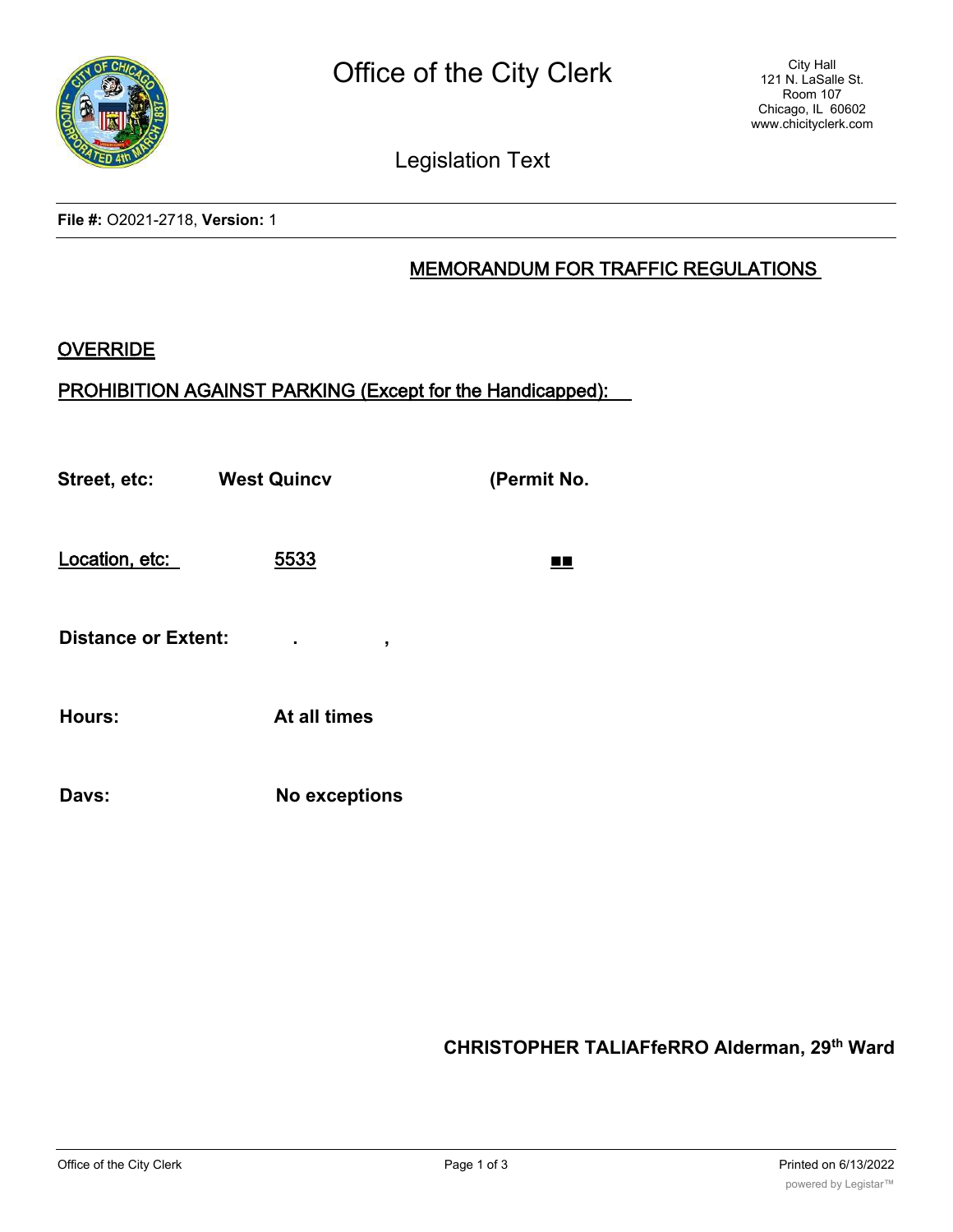

Legislation Text

**File #:** O2021-2718, **Version:** 1

## MEMORANDUM FOR TRAFFIC REGULATIONS

## **OVERRIDE**

## PROHIBITION AGAINST PARKING (Except for the Handicapped):

**Street, etc: West Quincv (Permit No.**

Location, etc: 5533 ■■

**Distance or Extent: . ,**

**Hours: At all times**

**Davs: No exceptions**

**CHRISTOPHER TALlAFfeRRO Alderman, 29th Ward**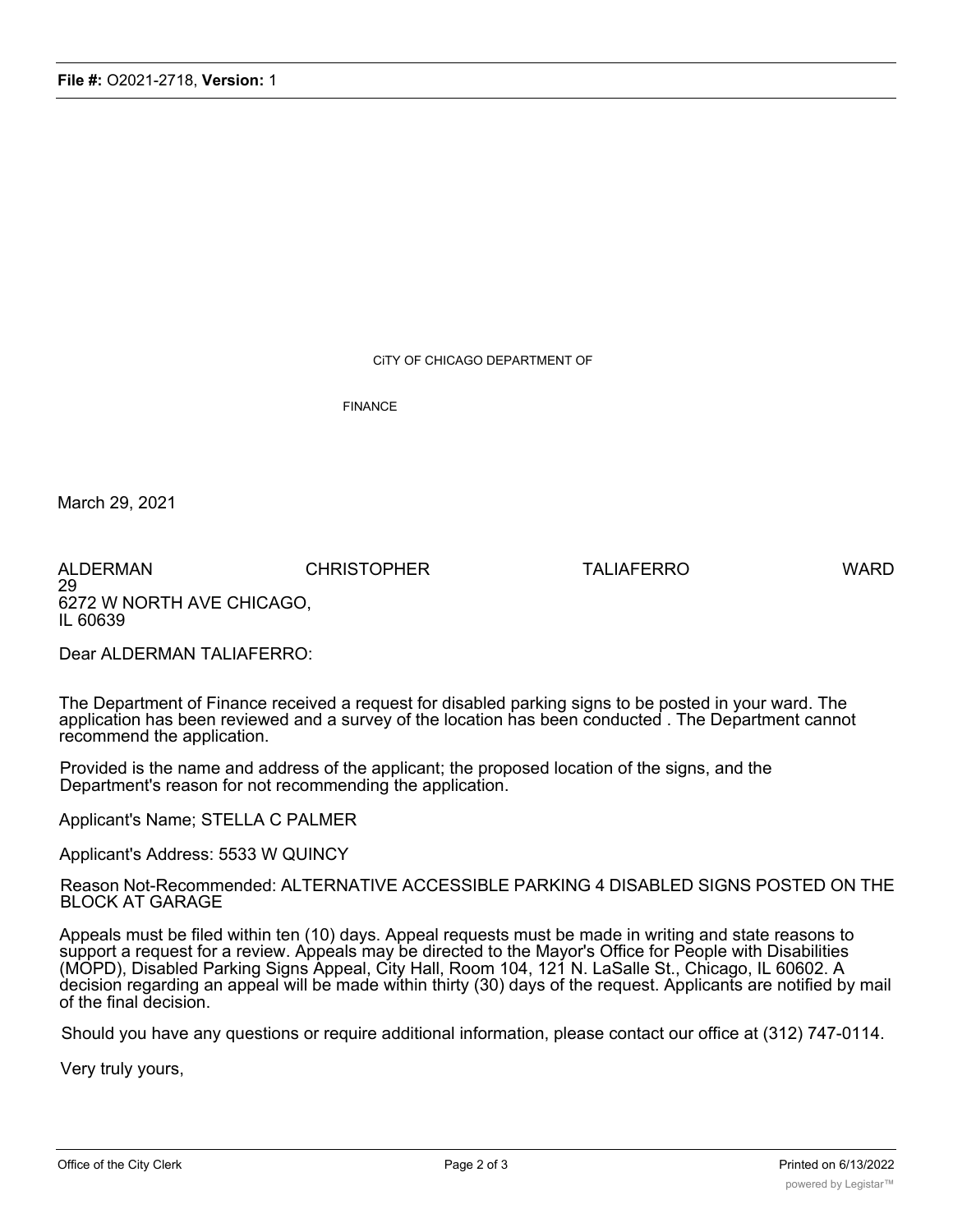CiTY OF CHICAGO DEPARTMENT OF

FINANCE

March 29, 2021

ALDERMAN CHRISTOPHER TALIAFERRO WARD 29 6272 W NORTH AVE CHICAGO, IL 60639

Dear ALDERMAN TALIAFERRO:

The Department of Finance received a request for disabled parking signs to be posted in your ward. The application has been reviewed and a survey of the location has been conducted . The Department cannot recommend the application.

Provided is the name and address of the applicant; the proposed location of the signs, and the Department's reason for not recommending the application.

Applicant's Name; STELLA C PALMER

Applicant's Address: 5533 W QUINCY

Reason Not-Recommended: ALTERNATIVE ACCESSIBLE PARKING 4 DISABLED SIGNS POSTED ON THE BLOCK AT GARAGE

Appeals must be filed within ten (10) days. Appeal requests must be made in writing and state reasons to support a request for a review. Appeals may be directed to the Mayor's Office for People with Disabilities (MOPD), Disabled Parking Signs Appeal, City Hall, Room 104, 121 N. LaSalle St., Chicago, IL 60602. A decision regarding an appeal will be made within thirty (30) days of the request. Applicants are notified by mail of the final decision.

Should you have any questions or require additional information, please contact our office at (312) 747-0114.

Very truly yours,